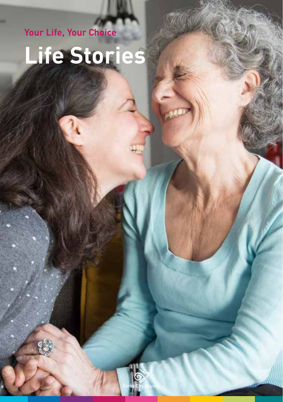**Your Life, Your Choice** 

## **Life Stories**

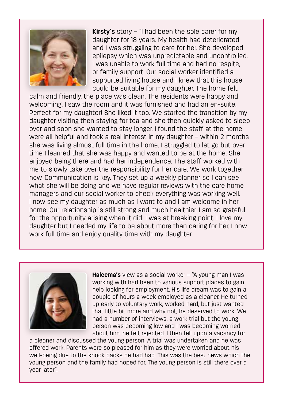

**Kirsty's** story – "I had been the sole carer for my daughter for 18 years. My health had deteriorated and I was struggling to care for her. She developed epilepsy which was unpredictable and uncontrolled. I was unable to work full time and had no respite, or family support. Our social worker identified a supported living house and I knew that this house could be suitable for my daughter. The home felt

calm and friendly, the place was clean. The residents were happy and welcoming. I saw the room and it was furnished and had an en-suite. Perfect for my daughter! She liked it too. We started the transition by my daughter visiting then staying for tea and she then quickly asked to sleep over and soon she wanted to stay longer. I found the staff at the home were all helpful and took a real interest in my daughter – within 2 months she was living almost full time in the home. I struggled to let go but over time I learned that she was happy and wanted to be at the home. She enjoyed being there and had her independence. The staff worked with me to slowly take over the responsibility for her care. We work together now. Communication is key. They set up a weekly planner so I can see what she will be doing and we have regular reviews with the care home managers and our social worker to check everything was working well. I now see my daughter as much as I want to and I am welcome in her home. Our relationship is still strong and much healthier. I am so grateful for the opportunity arising when it did. I was at breaking point. I love my daughter but I needed my life to be about more than caring for her. I now work full time and enjoy quality time with my daughter.



**Haleema's** view as a social worker – "A young man I was working with had been to various support places to gain help looking for employment. His life dream was to gain a couple of hours a week employed as a cleaner. He turned up early to voluntary work, worked hard, but just wanted that little bit more and why not, he deserved to work. We had a number of interviews, a work trial but the young person was becoming low and I was becoming worried about him, he felt rejected. I then fell upon a vacancy for

a cleaner and discussed the young person. A trial was undertaken and he was offered work. Parents were so pleased for him as they were worried about his well-being due to the knock backs he had had. This was the best news which the young person and the family had hoped for. The young person is still there over a year later".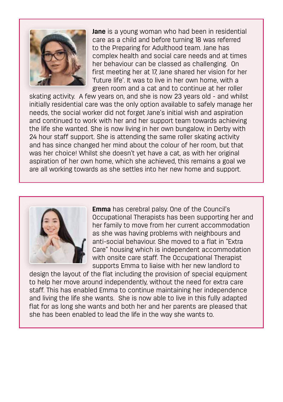

**Jane** is a young woman who had been in residential care as a child and before turning 18 was referred to the Preparing for Adulthood team. Jane has complex health and social care needs and at times her behaviour can be classed as challenging. On first meeting her at 17, Jane shared her vision for her 'future life'. It was to live in her own home, with a green room and a cat and to continue at her roller

skating activity. A few years on, and she is now 23 years old - and whilst initially residential care was the only option available to safely manage her needs, the social worker did not forget Jane's initial wish and aspiration and continued to work with her and her support team towards achieving the life she wanted. She is now living in her own bungalow, in Derby with 24 hour staff support. She is attending the same roller skating activity and has since changed her mind about the colour of her room, but that was her choice! Whilst she doesn't yet have a cat, as with her original aspiration of her own home, which she achieved, this remains a goal we are all working towards as she settles into her new home and support.



**Emma** has cerebral palsy. One of the Council's Occupational Therapists has been supporting her and her family to move from her current accommodation as she was having problems with neighbours and anti-social behaviour. She moved to a flat in "Extra Care" housing which is independent accommodation with onsite care staff. The Occupational Therapist supports Emma to liaise with her new landlord to

 she has been enabled to lead the life in the way she wants to. design the layout of the flat including the provision of special equipment to help her move around independently, without the need for extra care staff. This has enabled Emma to continue maintaining her independence and living the life she wants. She is now able to live in this fully adapted flat for as long she wants and both her and her parents are pleased that